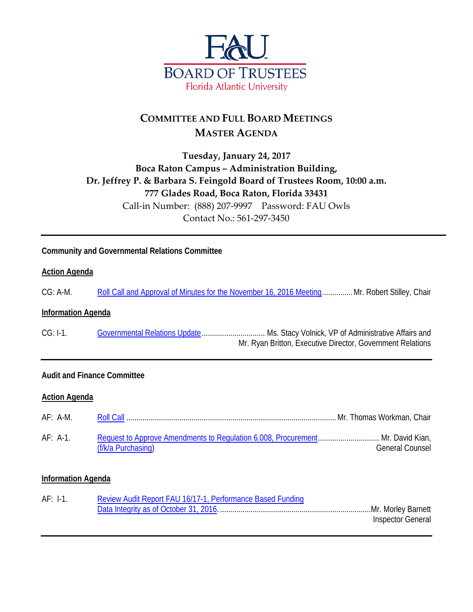

# **COMMITTEE AND FULL BOARD MEETINGS MASTER AGENDA**

# **Tuesday, January 24, 2017 Boca Raton Campus – Administration Building, Dr. Jeffrey P. & Barbara S. Feingold Board of Trustees Room, 10:00 a.m. 777 Glades Road, Boca Raton, Florida 33431** Call-in Number: (888) 207-9997 Password: FAU Owls Contact No.: 561-297-3450

# **Community and Governmental Relations Committee**

#### **Action Agenda**

CG: A-M. [Roll Call and Approval of Minutes for the November 16, 2016 Meeting.](http://www.fau.edu/bot/meetings/01242017/cg/CGAM.pdf).............. Mr. Robert Stilley, Chair

#### **Information Agenda**

CG: I-1. [Governmental Relations Update.](http://www.fau.edu/bot/meetings/01242017/cg/CGI1.pdf)................................ Ms. Stacy Volnick, VP of Administrative Affairs and Mr. Ryan Britton, Executive Director, Government Relations

#### **Audit and Finance Committee**

#### **Action Agenda**

| $AF: A-M.$ |                                                                                                      |                 |
|------------|------------------------------------------------------------------------------------------------------|-----------------|
| $AF: A-1.$ | Request to Approve Amendments to Regulation 6.008, Procurement Mr. David Kian,<br>(f/k/a Purchasing) | General Counsel |

#### **Information Agenda**

| $AF: I-1.$ | Review Audit Report FAU 16/17-1, Performance Based Funding |                   |
|------------|------------------------------------------------------------|-------------------|
|            |                                                            |                   |
|            |                                                            | Inspector General |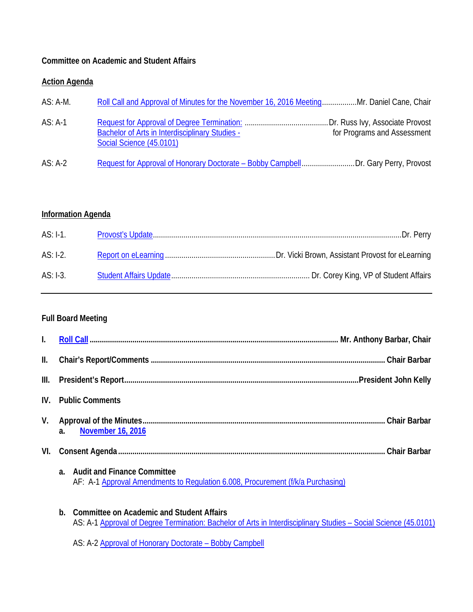### **Committee on Academic and Student Affairs**

### **Action Agenda**

| $AS: A-M.$ | Roll Call and Approval of Minutes for the November 16, 2016 MeetingMr. Daniel Cane, Chair                         |
|------------|-------------------------------------------------------------------------------------------------------------------|
| $AS: A-1$  | for Programs and Assessment<br><b>Bachelor of Arts in Interdisciplinary Studies -</b><br>Social Science (45.0101) |
| $AS: A-2$  | Request for Approval of Honorary Doctorate - Bobby CampbellDr. Gary Perry, Provost                                |

# **Information Agenda**

| AS: I-1.   |  |
|------------|--|
| AS: I-2.   |  |
| $AS: I-3.$ |  |

# **Full Board Meeting**

| $\mathbf{I}$ .  |                                                                                                                                       |  |
|-----------------|---------------------------------------------------------------------------------------------------------------------------------------|--|
| $\mathbf{II}$ . |                                                                                                                                       |  |
| III.            |                                                                                                                                       |  |
|                 | IV. Public Comments                                                                                                                   |  |
| V.              | <b>November 16, 2016</b><br>a.                                                                                                        |  |
| VI.             |                                                                                                                                       |  |
|                 | <b>Audit and Finance Committee</b><br>$\mathbf{a}$<br>AF: A-1 Approval Amendments to Regulation 6.008, Procurement (f/k/a Purchasing) |  |

**b. Committee on Academic and Student Affairs** AS: A-1 [Approval of Degree Termination: Bachelor of Arts in Interdisciplinary Studies –](http://www.fau.edu/bot/meetings/01242017/fullboard/ASA1.pdf) Social Science (45.0101)

AS: A-2 Approval of Honorary Doctorate - Bobby Campbell